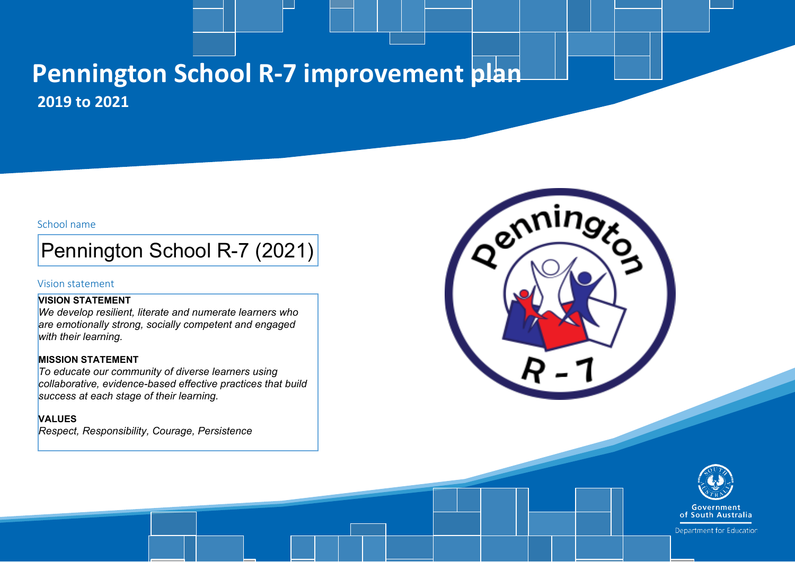### **Pennington School R-7 improvement plan 2019 to 2021**

### School name

### Pennington School R-7 (2021)

### Vision statement

### **VISION STATEMENT**

*We develop resilient, literate and numerate learners who are emotionally strong, socially competent and engaged with their learning.* 

### **MISSION STATEMENT**

*To educate our community of diverse learners using collaborative, evidence-based effective practices that build success at each stage of their learning.* 

### **VALUES**

*Respect, Responsibility, Courage, Persistence* 





Department for Education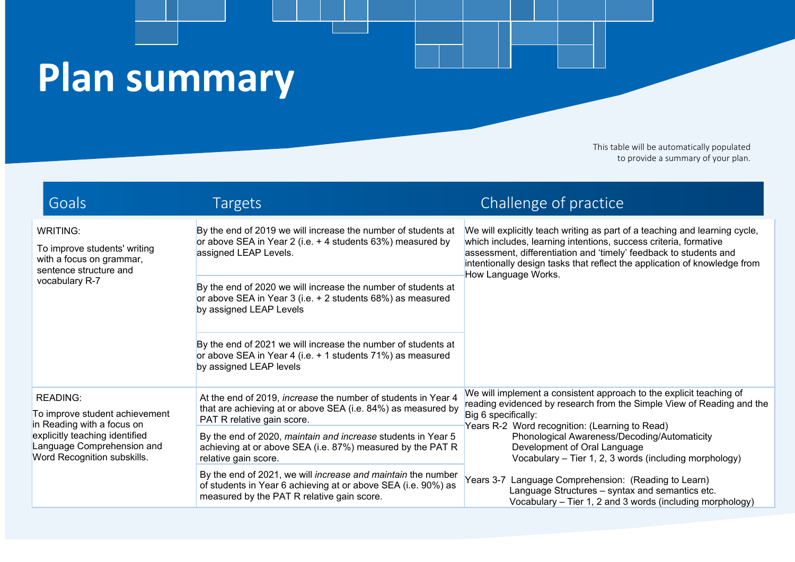# **Plan summary**

This table will be automatically populated to provide a summary of your plan.

| Goals                                                                                                                   | <b>Targets</b>                                                                                                                                                              | Challenge of practice                                                                                                                                                                                                                                                                                                   |
|-------------------------------------------------------------------------------------------------------------------------|-----------------------------------------------------------------------------------------------------------------------------------------------------------------------------|-------------------------------------------------------------------------------------------------------------------------------------------------------------------------------------------------------------------------------------------------------------------------------------------------------------------------|
| <b>WRITING:</b><br>To improve students' writing<br>with a focus on grammar,<br>sentence structure and<br>vocabulary R-7 | By the end of 2019 we will increase the number of students at<br>or above SEA in Year 2 (i.e. + 4 students 63%) measured by<br>assigned LEAP Levels.                        | We will explicitly teach writing as part of a teaching and learning cycle,<br>which includes, learning intentions, success criteria, formative<br>assessment, differentiation and 'timely' feedback to students and<br>intentionally design tasks that reflect the application of knowledge from<br>How Language Works. |
|                                                                                                                         | By the end of 2020 we will increase the number of students at<br>or above SEA in Year 3 (i.e. + 2 students 68%) as measured<br>by assigned LEAP Levels                      |                                                                                                                                                                                                                                                                                                                         |
|                                                                                                                         | By the end of 2021 we will increase the number of students at<br>or above SEA in Year 4 (i.e. + 1 students 71%) as measured<br>by assigned LEAP levels                      |                                                                                                                                                                                                                                                                                                                         |
| <b>READING:</b><br>To improve student achievement<br>in Reading with a focus on                                         | At the end of 2019, increase the number of students in Year 4<br>that are achieving at or above SEA (i.e. 84%) as measured by<br>PAT R relative gain score.                 | We will implement a consistent approach to the explicit teaching of<br>reading evidenced by research from the Simple View of Reading and the<br>Big 6 specifically:<br>Years R-2 Word recognition: (Learning to Read)                                                                                                   |
| explicitly teaching identified<br>Language Comprehension and<br>Word Recognition subskills.                             | By the end of 2020, maintain and increase students in Year 5<br>achieving at or above SEA (i.e. 87%) measured by the PAT R<br>relative gain score.                          | Phonological Awareness/Decoding/Automaticity<br>Development of Oral Language<br>Vocabulary - Tier 1, 2, 3 words (including morphology)                                                                                                                                                                                  |
|                                                                                                                         | By the end of 2021, we will increase and maintain the number<br>of students in Year 6 achieving at or above SEA (i.e. 90%) as<br>measured by the PAT R relative gain score. | Years 3-7 Language Comprehension: (Reading to Learn)<br>Language Structures - syntax and semantics etc.<br>Vocabulary - Tier 1, 2 and 3 words (including morphology)                                                                                                                                                    |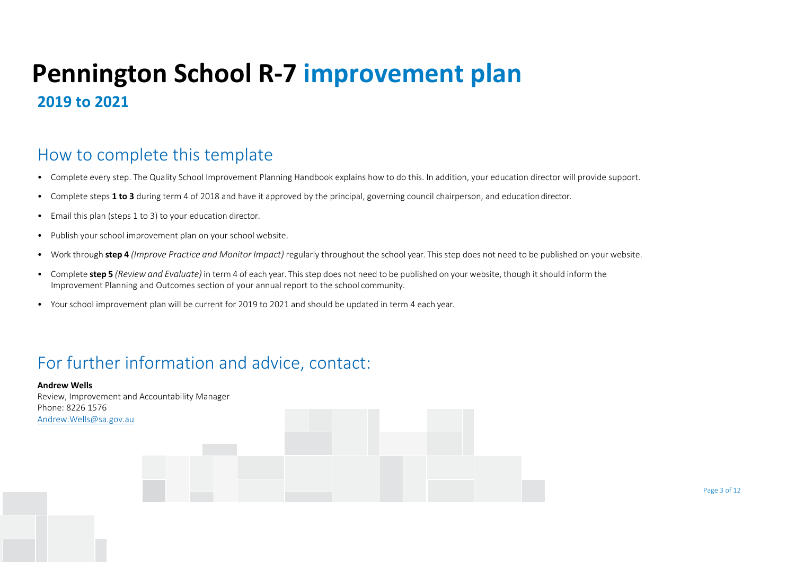### **Pennington School R-7 improvement plan 2019 to 2021**

### How to complete this template

- Complete every step. The Quality School Improvement Planning Handbook explains how to do this. In addition, your education director will provide support.
- Complete steps **1 to 3** during term 4 of 2018 and have it approved by the principal, governing council chairperson, and educationdirector.
- Email this plan (steps 1 to 3) to your education director.
- Publish your school improvement plan on your school website.
- Work through **step 4** *(Improve Practice and Monitor Impact)* regularly throughout the school year. This step does not need to be published on your website.
- Complete **step 5** *(Review and Evaluate)* in term 4 of each year. Thisstep does not need to be published on your website, though itshould inform the Improvement Planning and Outcomes section of your annual report to the school community.
- Your school improvement plan will be current for 2019 to 2021 and should be updated in term 4 each year.

### For further information and advice, contact:

**Andrew Wells** Review, Improvement and Accountability Manager Phone: 8226 1576 [Andrew.Wells@sa.gov.au](mailto:Andrew.Wells@sa.gov.au)

en de la construction de la construction de la construction de la construction de la construction de la construction de la construction de la construction de la construction de la construction de la construction de la cons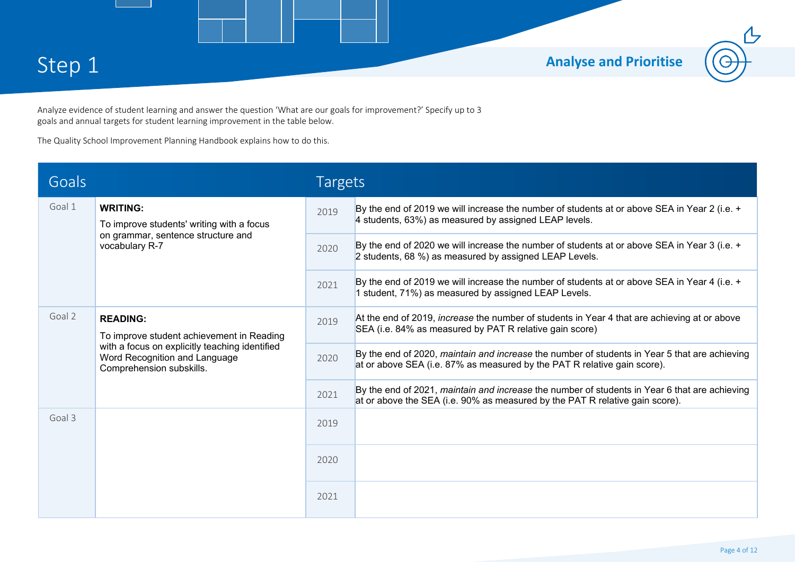

Analyze evidence of student learning and answer the question 'What are our goals for improvement?' Specify up to 3 goals and annual targets for student learning improvement in the table below.

The Quality School Improvement Planning Handbook explains how to do this.

| Goals  |                                                                                                                                                                             | <b>Targets</b> |                                                                                                                                                                               |
|--------|-----------------------------------------------------------------------------------------------------------------------------------------------------------------------------|----------------|-------------------------------------------------------------------------------------------------------------------------------------------------------------------------------|
| Goal 1 | <b>WRITING:</b><br>To improve students' writing with a focus<br>on grammar, sentence structure and<br>vocabulary R-7                                                        | 2019           | By the end of 2019 we will increase the number of students at or above SEA in Year 2 (i.e. +<br>4 students, 63%) as measured by assigned LEAP levels.                         |
|        |                                                                                                                                                                             | 2020           | By the end of 2020 we will increase the number of students at or above SEA in Year 3 (i.e. +<br>2 students, 68 %) as measured by assigned LEAP Levels.                        |
|        |                                                                                                                                                                             | 2021           | By the end of 2019 we will increase the number of students at or above SEA in Year 4 (i.e. +<br>1 student, 71%) as measured by assigned LEAP Levels.                          |
| Goal 2 | <b>READING:</b><br>To improve student achievement in Reading<br>with a focus on explicitly teaching identified<br>Word Recognition and Language<br>Comprehension subskills. | 2019           | At the end of 2019, <i>increase</i> the number of students in Year 4 that are achieving at or above<br>SEA (i.e. 84% as measured by PAT R relative gain score)                |
|        |                                                                                                                                                                             | 2020           | By the end of 2020, maintain and increase the number of students in Year 5 that are achieving<br>at or above SEA (i.e. 87% as measured by the PAT R relative gain score).     |
|        |                                                                                                                                                                             |                | By the end of 2021, maintain and increase the number of students in Year 6 that are achieving<br>at or above the SEA (i.e. 90% as measured by the PAT R relative gain score). |
| Goal 3 |                                                                                                                                                                             | 2019           |                                                                                                                                                                               |
|        |                                                                                                                                                                             |                |                                                                                                                                                                               |
|        |                                                                                                                                                                             | 2021           |                                                                                                                                                                               |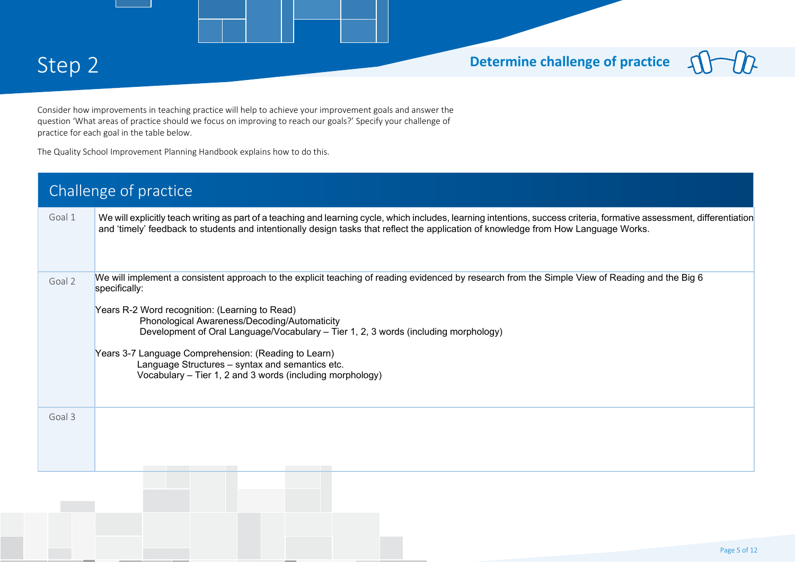### Step 2 **Determine challenge of practice**

Consider how improvements in teaching practice will help to achieve your improvement goals and answer the question 'What areas of practice should we focus on improving to reach our goals?' Specify your challenge of practice for each goal in the table below.

The Quality School Improvement Planning Handbook explains how to do this.

|        | Challenge of practice                                                                                                                                                                                                                                                                                                                                                                                                                                                                                                             |
|--------|-----------------------------------------------------------------------------------------------------------------------------------------------------------------------------------------------------------------------------------------------------------------------------------------------------------------------------------------------------------------------------------------------------------------------------------------------------------------------------------------------------------------------------------|
| Goal 1 | We will explicitly teach writing as part of a teaching and learning cycle, which includes, learning intentions, success criteria, formative assessment, differentiation<br>and 'timely' feedback to students and intentionally design tasks that reflect the application of knowledge from How Language Works.                                                                                                                                                                                                                    |
| Goal 2 | We will implement a consistent approach to the explicit teaching of reading evidenced by research from the Simple View of Reading and the Big 6<br>specifically:<br>Years R-2 Word recognition: (Learning to Read)<br>Phonological Awareness/Decoding/Automaticity<br>Development of Oral Language/Vocabulary - Tier 1, 2, 3 words (including morphology)<br>Years 3-7 Language Comprehension: (Reading to Learn)<br>Language Structures - syntax and semantics etc.<br>Vocabulary - Tier 1, 2 and 3 words (including morphology) |
| Goal 3 | <b>Contract Contract</b>                                                                                                                                                                                                                                                                                                                                                                                                                                                                                                          |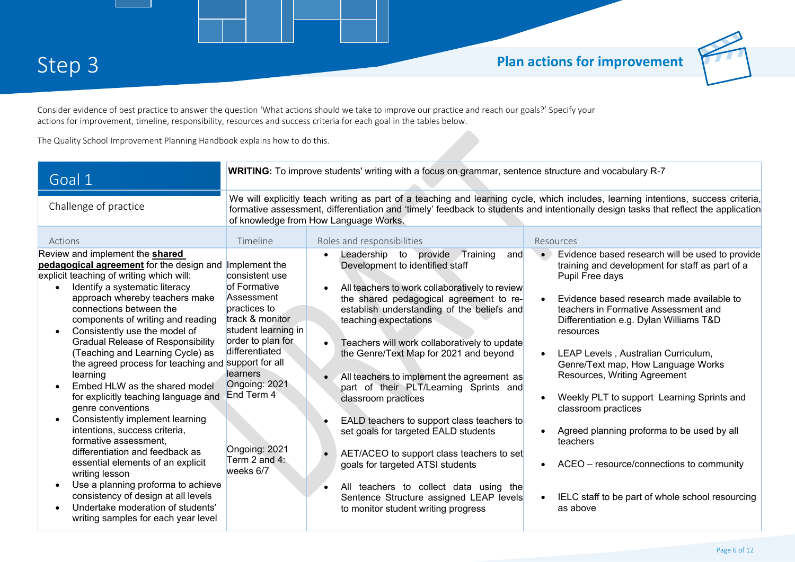

Consider evidence of best practice to answer the question 'What actions should we take to improve our practice and reach our goals?' Specify your actions for improvement, timeline, responsibility, resources and success criteria for each goal in the tables below.

The Quality School Improvement Planning Handbook explains how to do this.

| Goal 1                                                                                                                                                                                                                                                                                                                                                                                                                                                                                                                                                                                                                                                                                                                                                                                                                                                                                                                          |                                                                                                                                                                                                                                                                                                                   | <b>WRITING:</b> To improve students' writing with a focus on grammar, sentence structure and vocabulary R-7                                                                                                                                                                                                                                                                                                                                                                                                                                                                                                                                                                                                                                                 |                                                                                                                                                                                                                                                                                                                                                                                                                                                                                                                                                                                                                            |  |  |
|---------------------------------------------------------------------------------------------------------------------------------------------------------------------------------------------------------------------------------------------------------------------------------------------------------------------------------------------------------------------------------------------------------------------------------------------------------------------------------------------------------------------------------------------------------------------------------------------------------------------------------------------------------------------------------------------------------------------------------------------------------------------------------------------------------------------------------------------------------------------------------------------------------------------------------|-------------------------------------------------------------------------------------------------------------------------------------------------------------------------------------------------------------------------------------------------------------------------------------------------------------------|-------------------------------------------------------------------------------------------------------------------------------------------------------------------------------------------------------------------------------------------------------------------------------------------------------------------------------------------------------------------------------------------------------------------------------------------------------------------------------------------------------------------------------------------------------------------------------------------------------------------------------------------------------------------------------------------------------------------------------------------------------------|----------------------------------------------------------------------------------------------------------------------------------------------------------------------------------------------------------------------------------------------------------------------------------------------------------------------------------------------------------------------------------------------------------------------------------------------------------------------------------------------------------------------------------------------------------------------------------------------------------------------------|--|--|
| Challenge of practice                                                                                                                                                                                                                                                                                                                                                                                                                                                                                                                                                                                                                                                                                                                                                                                                                                                                                                           | We will explicitly teach writing as part of a teaching and learning cycle, which includes, learning intentions, success criteria,<br>formative assessment, differentiation and 'timely' feedback to students and intentionally design tasks that reflect the application<br>of knowledge from How Language Works. |                                                                                                                                                                                                                                                                                                                                                                                                                                                                                                                                                                                                                                                                                                                                                             |                                                                                                                                                                                                                                                                                                                                                                                                                                                                                                                                                                                                                            |  |  |
| Actions                                                                                                                                                                                                                                                                                                                                                                                                                                                                                                                                                                                                                                                                                                                                                                                                                                                                                                                         | Timeline                                                                                                                                                                                                                                                                                                          | Roles and responsibilities                                                                                                                                                                                                                                                                                                                                                                                                                                                                                                                                                                                                                                                                                                                                  | Resources                                                                                                                                                                                                                                                                                                                                                                                                                                                                                                                                                                                                                  |  |  |
| Review and implement the <b>shared</b><br>pedagogical agreement for the design and Implement the<br>explicit teaching of writing which will:<br>Identify a systematic literacy<br>$\bullet$<br>approach whereby teachers make<br>connections between the<br>components of writing and reading<br>Consistently use the model of<br><b>Gradual Release of Responsibility</b><br>(Teaching and Learning Cycle) as<br>the agreed process for teaching and support for all<br>learning<br>Embed HLW as the shared model<br>for explicitly teaching language and<br>genre conventions<br>Consistently implement learning<br>intentions, success criteria,<br>formative assessment,<br>differentiation and feedback as<br>essential elements of an explicit<br>writing lesson<br>Use a planning proforma to achieve<br>consistency of design at all levels<br>Undertake moderation of students'<br>writing samples for each year level | consistent use<br>of Formative<br>Assessment<br>practices to<br>track & monitor<br>student learning in<br>order to plan for<br>differentiated<br>learners<br>Ongoing: 2021<br>End Term 4<br>Ongoing: 2021<br>Term 2 and 4:<br>weeks 6/7                                                                           | provide Training<br>and<br>Leadership to<br>Development to identified staff<br>All teachers to work collaboratively to review<br>the shared pedagogical agreement to re-<br>establish understanding of the beliefs and<br>teaching expectations<br>Teachers will work collaboratively to update<br>the Genre/Text Map for 2021 and beyond<br>All teachers to implement the agreement as<br>part of their PLT/Learning Sprints and<br>classroom practices<br>EALD teachers to support class teachers to<br>set goals for targeted EALD students<br>AET/ACEO to support class teachers to set<br>goals for targeted ATSI students<br>All teachers to collect data using the<br>Sentence Structure assigned LEAP levels<br>to monitor student writing progress | Evidence based research will be used to provide<br>training and development for staff as part of a<br>Pupil Free days<br>Evidence based research made available to<br>teachers in Formative Assessment and<br>Differentiation e.g. Dylan Williams T&D<br>resources<br>LEAP Levels, Australian Curriculum,<br>Genre/Text map, How Language Works<br>Resources, Writing Agreement<br>Weekly PLT to support Learning Sprints and<br>classroom practices<br>Agreed planning proforma to be used by all<br>teachers<br>ACEO - resource/connections to community<br>IELC staff to be part of whole school resourcing<br>as above |  |  |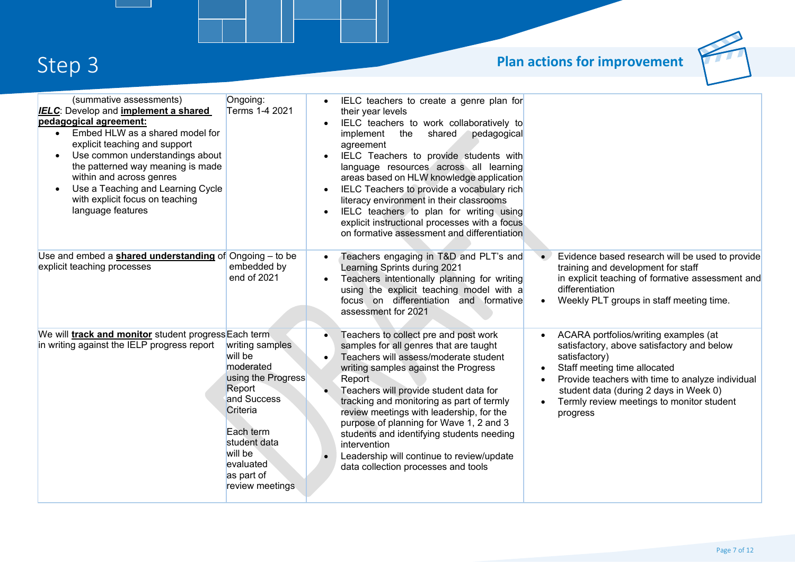# **Step 3 Plan actions for improvement**



| (summative assessments)<br><b>IELC:</b> Develop and <i>implement a shared</i><br>pedagogical agreement:<br>Embed HLW as a shared model for<br>$\bullet$<br>explicit teaching and support<br>Use common understandings about<br>the patterned way meaning is made<br>within and across genres<br>Use a Teaching and Learning Cycle<br>with explicit focus on teaching<br>language features | Ongoing:<br>Terms 1-4 2021                                                                                                                                                               | IELC teachers to create a genre plan for<br>their year levels<br>IELC teachers to work collaboratively to<br>the<br>shared<br>pedagogical<br>implement<br>agreement<br>IELC Teachers to provide students with<br>language resources across all learning<br>areas based on HLW knowledge application<br>IELC Teachers to provide a vocabulary rich<br>literacy environment in their classrooms<br>IELC teachers to plan for writing using<br>explicit instructional processes with a focus<br>on formative assessment and differentiation |           |                                                                                                                                                                                                                                                                                             |
|-------------------------------------------------------------------------------------------------------------------------------------------------------------------------------------------------------------------------------------------------------------------------------------------------------------------------------------------------------------------------------------------|------------------------------------------------------------------------------------------------------------------------------------------------------------------------------------------|------------------------------------------------------------------------------------------------------------------------------------------------------------------------------------------------------------------------------------------------------------------------------------------------------------------------------------------------------------------------------------------------------------------------------------------------------------------------------------------------------------------------------------------|-----------|---------------------------------------------------------------------------------------------------------------------------------------------------------------------------------------------------------------------------------------------------------------------------------------------|
| Use and embed a <b>shared understanding</b> of Ongoing - to be<br>explicit teaching processes                                                                                                                                                                                                                                                                                             | embedded by<br>end of 2021                                                                                                                                                               | Teachers engaging in T&D and PLT's and<br>Learning Sprints during 2021<br>Teachers intentionally planning for writing<br>using the explicit teaching model with a<br>focus on differentiation and formative<br>assessment for 2021                                                                                                                                                                                                                                                                                                       |           | Evidence based research will be used to provide<br>training and development for staff<br>in explicit teaching of formative assessment and<br>differentiation<br>Weekly PLT groups in staff meeting time.                                                                                    |
| We will <b>track and monitor</b> student progress Each term<br>in writing against the IELP progress report                                                                                                                                                                                                                                                                                | writing samples<br>will be<br>moderated<br>using the Progress<br>Report<br>and Success<br>Criteria<br>Each term<br>student data<br>will be<br>evaluated<br>as part of<br>review meetings | Teachers to collect pre and post work<br>samples for all genres that are taught<br>Teachers will assess/moderate student<br>writing samples against the Progress<br>Report<br>Teachers will provide student data for<br>tracking and monitoring as part of termly<br>review meetings with leadership, for the<br>purpose of planning for Wave 1, 2 and 3<br>students and identifying students needing<br>intervention<br>Leadership will continue to review/update<br>data collection processes and tools                                | $\bullet$ | ACARA portfolios/writing examples (at<br>satisfactory, above satisfactory and below<br>satisfactory)<br>Staff meeting time allocated<br>Provide teachers with time to analyze individual<br>student data (during 2 days in Week 0)<br>Termly review meetings to monitor student<br>progress |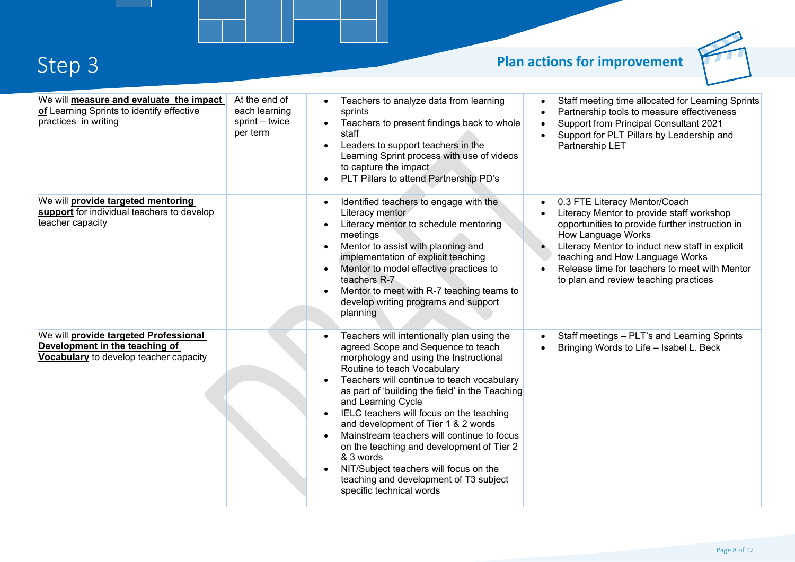# **Step 3 Plan actions for improvement**



| We will measure and evaluate the impact<br>of Learning Sprints to identify effective<br>practices in writing      | At the end of<br>each learning<br>sprint - twice<br>per term | Teachers to analyze data from learning<br>sprints<br>Teachers to present findings back to whole<br>$\bullet$<br>staff<br>Leaders to support teachers in the<br>$\bullet$<br>Learning Sprint process with use of videos<br>to capture the impact<br>PLT Pillars to attend Partnership PD's                                                                                                                                                                                                                                                                                                                | Staff meeting time allocated for Learning Sprints<br>$\bullet$<br>Partnership tools to measure effectiveness<br>$\bullet$<br><b>Support from Principal Consultant 2021</b><br>$\bullet$<br>Support for PLT Pillars by Leadership and<br>$\bullet$<br>Partnership LET                                                                             |
|-------------------------------------------------------------------------------------------------------------------|--------------------------------------------------------------|----------------------------------------------------------------------------------------------------------------------------------------------------------------------------------------------------------------------------------------------------------------------------------------------------------------------------------------------------------------------------------------------------------------------------------------------------------------------------------------------------------------------------------------------------------------------------------------------------------|--------------------------------------------------------------------------------------------------------------------------------------------------------------------------------------------------------------------------------------------------------------------------------------------------------------------------------------------------|
| We will <b>provide targeted mentoring</b><br>support for individual teachers to develop<br>teacher capacity       |                                                              | Identified teachers to engage with the<br>$\bullet$<br>Literacy mentor<br>Literacy mentor to schedule mentoring<br>meetings<br>Mentor to assist with planning and<br>implementation of explicit teaching<br>Mentor to model effective practices to<br>teachers R-7<br>Mentor to meet with R-7 teaching teams to<br>develop writing programs and support<br>planning                                                                                                                                                                                                                                      | 0.3 FTE Literacy Mentor/Coach<br>Literacy Mentor to provide staff workshop<br>opportunities to provide further instruction in<br>How Language Works<br>Literacy Mentor to induct new staff in explicit<br>$\bullet$<br>teaching and How Language Works<br>Release time for teachers to meet with Mentor<br>to plan and review teaching practices |
| We will provide targeted Professional<br>Development in the teaching of<br>Vocabulary to develop teacher capacity |                                                              | Teachers will intentionally plan using the<br>agreed Scope and Sequence to teach<br>morphology and using the Instructional<br>Routine to teach Vocabulary<br>Teachers will continue to teach vocabulary<br>as part of 'building the field' in the Teaching<br>and Learning Cycle<br>IELC teachers will focus on the teaching<br>$\bullet$<br>and development of Tier 1 & 2 words<br>Mainstream teachers will continue to focus<br>on the teaching and development of Tier 2<br>& 3 words<br>NIT/Subject teachers will focus on the<br>teaching and development of T3 subject<br>specific technical words | Staff meetings - PLT's and Learning Sprints<br>$\bullet$<br>Bringing Words to Life - Isabel L. Beck                                                                                                                                                                                                                                              |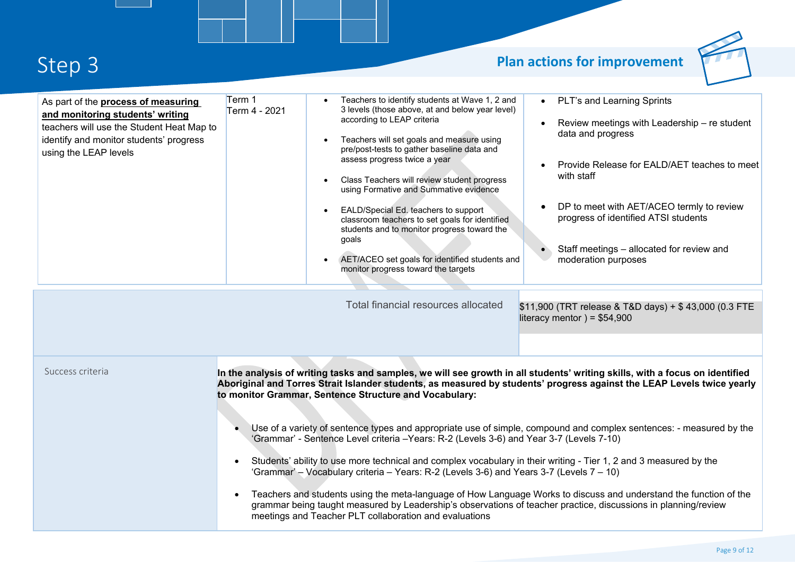### **Step 3 Plan actions for improvement**



| As part of the <b>process of measuring</b><br>and monitoring students' writing<br>teachers will use the Student Heat Map to<br>identify and monitor students' progress<br>using the LEAP levels | Term 1<br>Term 4 - 2021 | Teachers to identify students at Wave 1, 2 and<br>3 levels (those above, at and below year level)<br>according to LEAP criteria<br>Teachers will set goals and measure using<br>$\bullet$<br>pre/post-tests to gather baseline data and<br>assess progress twice a year<br>Class Teachers will review student progress<br>$\bullet$<br>using Formative and Summative evidence<br>EALD/Special Ed. teachers to support<br>$\bullet$<br>classroom teachers to set goals for identified<br>students and to monitor progress toward the<br>goals<br>AET/ACEO set goals for identified students and<br>$\bullet$<br>monitor progress toward the targets<br>Total financial resources allocated | PLT's and Learning Sprints<br>Review meetings with Leadership - re student<br>data and progress<br>Provide Release for EALD/AET teaches to meet<br>with staff<br>DP to meet with AET/ACEO termly to review<br>$\bullet$<br>progress of identified ATSI students<br>Staff meetings - allocated for review and<br>moderation purposes<br>\$11,900 (TRT release & T&D days) + \$43,000 (0.3 FTE<br>literacy mentor) = $$54,900$                                                                       |
|-------------------------------------------------------------------------------------------------------------------------------------------------------------------------------------------------|-------------------------|-------------------------------------------------------------------------------------------------------------------------------------------------------------------------------------------------------------------------------------------------------------------------------------------------------------------------------------------------------------------------------------------------------------------------------------------------------------------------------------------------------------------------------------------------------------------------------------------------------------------------------------------------------------------------------------------|----------------------------------------------------------------------------------------------------------------------------------------------------------------------------------------------------------------------------------------------------------------------------------------------------------------------------------------------------------------------------------------------------------------------------------------------------------------------------------------------------|
| Success criteria                                                                                                                                                                                | $\bullet$<br>$\bullet$  | to monitor Grammar, Sentence Structure and Vocabulary:<br>'Grammar' - Sentence Level criteria - Years: R-2 (Levels 3-6) and Year 3-7 (Levels 7-10)<br>Students' ability to use more technical and complex vocabulary in their writing - Tier 1, 2 and 3 measured by the<br>'Grammar' - Vocabulary criteria - Years: R-2 (Levels 3-6) and Years 3-7 (Levels 7 - 10)<br>grammar being taught measured by Leadership's observations of teacher practice, discussions in planning/review<br>meetings and Teacher PLT collaboration and evaluations                                                                                                                                            | In the analysis of writing tasks and samples, we will see growth in all students' writing skills, with a focus on identified<br>Aboriginal and Torres Strait Islander students, as measured by students' progress against the LEAP Levels twice yearly<br>Use of a variety of sentence types and appropriate use of simple, compound and complex sentences: - measured by the<br>Teachers and students using the meta-language of How Language Works to discuss and understand the function of the |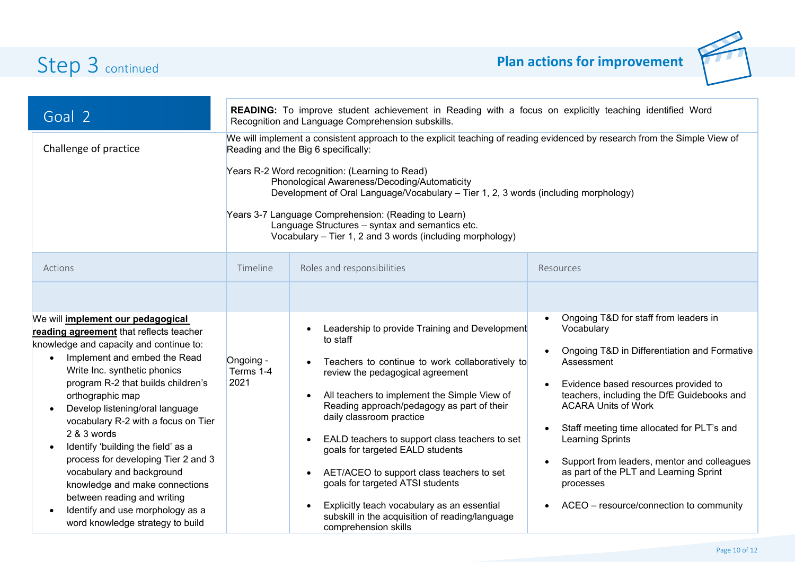

| Goal 2<br>Challenge of practice                                                                                                                                                                                                                                                                                                                                                                                                                                                                                                                                                                            | READING: To improve student achievement in Reading with a focus on explicitly teaching identified Word<br>Recognition and Language Comprehension subskills.<br>We will implement a consistent approach to the explicit teaching of reading evidenced by research from the Simple View of<br>Reading and the Big 6 specifically:<br>Years R-2 Word recognition: (Learning to Read)<br>Phonological Awareness/Decoding/Automaticity<br>Development of Oral Language/Vocabulary - Tier 1, 2, 3 words (including morphology)<br>Years 3-7 Language Comprehension: (Reading to Learn)<br>Language Structures - syntax and semantics etc.<br>Vocabulary - Tier 1, 2 and 3 words (including morphology) |                                                                                                                                                                                                                                                                                                                                                                                                                                                                                                                                                                                           |                                                                                                                                                                                                                                                                                                                                                                                                                                                          |  |
|------------------------------------------------------------------------------------------------------------------------------------------------------------------------------------------------------------------------------------------------------------------------------------------------------------------------------------------------------------------------------------------------------------------------------------------------------------------------------------------------------------------------------------------------------------------------------------------------------------|--------------------------------------------------------------------------------------------------------------------------------------------------------------------------------------------------------------------------------------------------------------------------------------------------------------------------------------------------------------------------------------------------------------------------------------------------------------------------------------------------------------------------------------------------------------------------------------------------------------------------------------------------------------------------------------------------|-------------------------------------------------------------------------------------------------------------------------------------------------------------------------------------------------------------------------------------------------------------------------------------------------------------------------------------------------------------------------------------------------------------------------------------------------------------------------------------------------------------------------------------------------------------------------------------------|----------------------------------------------------------------------------------------------------------------------------------------------------------------------------------------------------------------------------------------------------------------------------------------------------------------------------------------------------------------------------------------------------------------------------------------------------------|--|
| Actions                                                                                                                                                                                                                                                                                                                                                                                                                                                                                                                                                                                                    | Timeline                                                                                                                                                                                                                                                                                                                                                                                                                                                                                                                                                                                                                                                                                         | Roles and responsibilities                                                                                                                                                                                                                                                                                                                                                                                                                                                                                                                                                                | Resources                                                                                                                                                                                                                                                                                                                                                                                                                                                |  |
| We will implement our pedagogical<br>reading agreement that reflects teacher<br>knowledge and capacity and continue to:<br>Implement and embed the Read<br>$\bullet$<br>Write Inc. synthetic phonics<br>program R-2 that builds children's<br>orthographic map<br>Develop listening/oral language<br>vocabulary R-2 with a focus on Tier<br>2 & 3 words<br>Identify 'building the field' as a<br>process for developing Tier 2 and 3<br>vocabulary and background<br>knowledge and make connections<br>between reading and writing<br>Identify and use morphology as a<br>word knowledge strategy to build | Ongoing -<br>Terms 1-4<br>2021                                                                                                                                                                                                                                                                                                                                                                                                                                                                                                                                                                                                                                                                   | Leadership to provide Training and Development<br>to staff<br>Teachers to continue to work collaboratively to<br>review the pedagogical agreement<br>All teachers to implement the Simple View of<br>Reading approach/pedagogy as part of their<br>daily classroom practice<br>EALD teachers to support class teachers to set<br>goals for targeted EALD students<br>AET/ACEO to support class teachers to set<br>$\bullet$<br>goals for targeted ATSI students<br>Explicitly teach vocabulary as an essential<br>subskill in the acquisition of reading/language<br>comprehension skills | Ongoing T&D for staff from leaders in<br>Vocabulary<br>Ongoing T&D in Differentiation and Formative<br>Assessment<br>Evidence based resources provided to<br>teachers, including the DfE Guidebooks and<br><b>ACARA Units of Work</b><br>Staff meeting time allocated for PLT's and<br>Learning Sprints<br>Support from leaders, mentor and colleagues<br>as part of the PLT and Learning Sprint<br>processes<br>ACEO - resource/connection to community |  |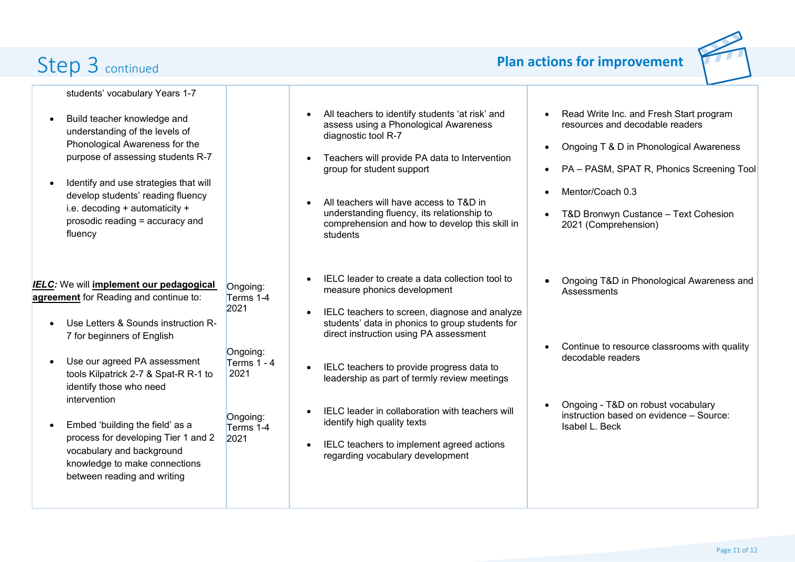

students' vocabulary Years 1-7

- Build teacher knowledge and understanding of the levels of Phonological Awareness for the purpose of assessing students R-7
- Identify and use strategies that will develop students' reading fluency i.e. decoding + automaticity + prosodic reading = accuracy and fluency

*IELC:* We will **implement our pedagogical agreement** for Reading and continue to:

Ongoing: Terms 1-4 2021

Ongoing:

- Use Letters & Sounds instruction R-7 for beginners of English
- Use our agreed PA assessment tools Kilpatrick 2-7 & Spat-R R-1 to identify those who need intervention Terms 1 - 4 2021
- Embed 'building the field' as a process for developing Tier 1 and 2 vocabulary and background knowledge to make connections between reading and writing Ongoing: Terms 1-4 2021
- All teachers to identify students 'at risk' and assess using a Phonological Awareness diagnostic tool R-7
- Teachers will provide PA data to Intervention group for student support
- All teachers will have access to T&D in understanding fluency, its relationship to comprehension and how to develop this skill in students
- IELC leader to create a data collection tool to measure phonics development
- IELC teachers to screen, diagnose and analyze students' data in phonics to group students for direct instruction using PA assessment
- IELC teachers to provide progress data to leadership as part of termly review meetings
- IELC leader in collaboration with teachers will identify high quality texts
- IELC teachers to implement agreed actions regarding vocabulary development
- Read Write Inc. and Fresh Start program resources and decodable readers
- Ongoing T & D in Phonological Awareness
- PA PASM, SPAT R, Phonics Screening Tool
- Mentor/Coach 0.3
- T&D Bronwyn Custance Text Cohesion 2021 (Comprehension)
- Ongoing T&D in Phonological Awareness and **Assessments**
- Continue to resource classrooms with quality decodable readers
- Ongoing T&D on robust vocabulary instruction based on evidence – Source: Isabel L. Beck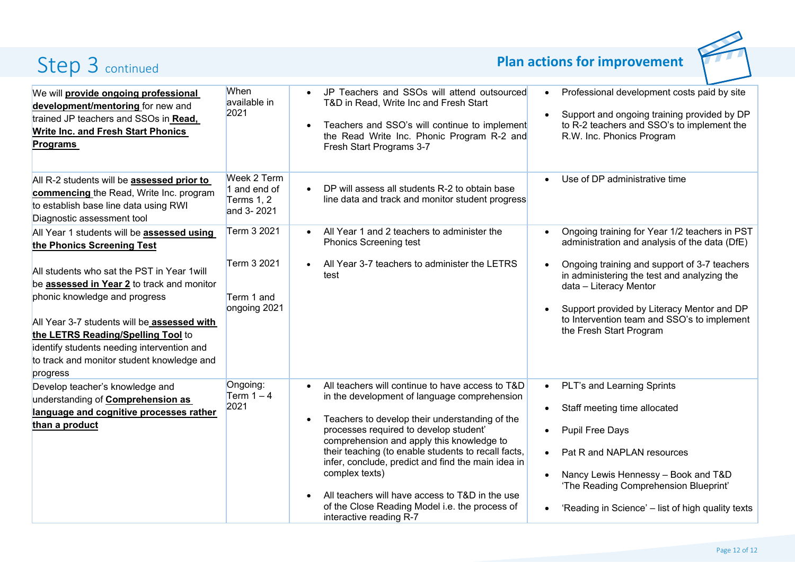

| We will provide ongoing professional<br>development/mentoring for new and<br>trained JP teachers and SSOs in Read,<br><b>Write Inc. and Fresh Start Phonics</b><br><b>Programs</b>                                                                                                                                             | <b>When</b><br>available in<br>2021                       | JP Teachers and SSOs will attend outsourced<br>T&D in Read, Write Inc and Fresh Start<br>Teachers and SSO's will continue to implement<br>the Read Write Inc. Phonic Program R-2 and<br>Fresh Start Programs 3-7                                                                                                                                                                                                                                                                                         | Professional development costs paid by site<br>$\bullet$<br>Support and ongoing training provided by DP<br>to R-2 teachers and SSO's to implement the<br>R.W. Inc. Phonics Program                                                                                                |
|--------------------------------------------------------------------------------------------------------------------------------------------------------------------------------------------------------------------------------------------------------------------------------------------------------------------------------|-----------------------------------------------------------|----------------------------------------------------------------------------------------------------------------------------------------------------------------------------------------------------------------------------------------------------------------------------------------------------------------------------------------------------------------------------------------------------------------------------------------------------------------------------------------------------------|-----------------------------------------------------------------------------------------------------------------------------------------------------------------------------------------------------------------------------------------------------------------------------------|
| All R-2 students will be <b>assessed prior to</b><br>commencing the Read, Write Inc. program<br>to establish base line data using RWI<br>Diagnostic assessment tool                                                                                                                                                            | Week 2 Term<br>1 and end of<br>Terms $1, 2$<br>and 3-2021 | DP will assess all students R-2 to obtain base<br>line data and track and monitor student progress                                                                                                                                                                                                                                                                                                                                                                                                       | Use of DP administrative time                                                                                                                                                                                                                                                     |
| All Year 1 students will be assessed using<br>the Phonics Screening Test                                                                                                                                                                                                                                                       | Term 3 2021                                               | All Year 1 and 2 teachers to administer the<br><b>Phonics Screening test</b>                                                                                                                                                                                                                                                                                                                                                                                                                             | Ongoing training for Year 1/2 teachers in PST<br>administration and analysis of the data (DfE)                                                                                                                                                                                    |
| All students who sat the PST in Year 1 will<br>be <b>assessed in Year 2</b> to track and monitor<br>phonic knowledge and progress<br>All Year 3-7 students will be assessed with<br>the LETRS Reading/Spelling Tool to<br>identify students needing intervention and<br>to track and monitor student knowledge and<br>progress | Term 3 2021<br>Term 1 and<br>ongoing 2021                 | All Year 3-7 teachers to administer the LETRS<br>test                                                                                                                                                                                                                                                                                                                                                                                                                                                    | Ongoing training and support of 3-7 teachers<br>in administering the test and analyzing the<br>data - Literacy Mentor<br>Support provided by Literacy Mentor and DP<br>to Intervention team and SSO's to implement<br>the Fresh Start Program                                     |
| Develop teacher's knowledge and<br>understanding of <b>Comprehension as</b><br>language and cognitive processes rather<br>than a product                                                                                                                                                                                       | Ongoing:<br>Term $1 - 4$<br>2021                          | All teachers will continue to have access to T&D<br>in the development of language comprehension<br>Teachers to develop their understanding of the<br>processes required to develop student'<br>comprehension and apply this knowledge to<br>their teaching (to enable students to recall facts,<br>infer, conclude, predict and find the main idea in<br>complex texts)<br>All teachers will have access to T&D in the use<br>of the Close Reading Model i.e. the process of<br>interactive reading R-7 | PLT's and Learning Sprints<br>$\bullet$<br>Staff meeting time allocated<br><b>Pupil Free Days</b><br>Pat R and NAPLAN resources<br>$\bullet$<br>Nancy Lewis Hennessy - Book and T&D<br>'The Reading Comprehension Blueprint'<br>'Reading in Science' - list of high quality texts |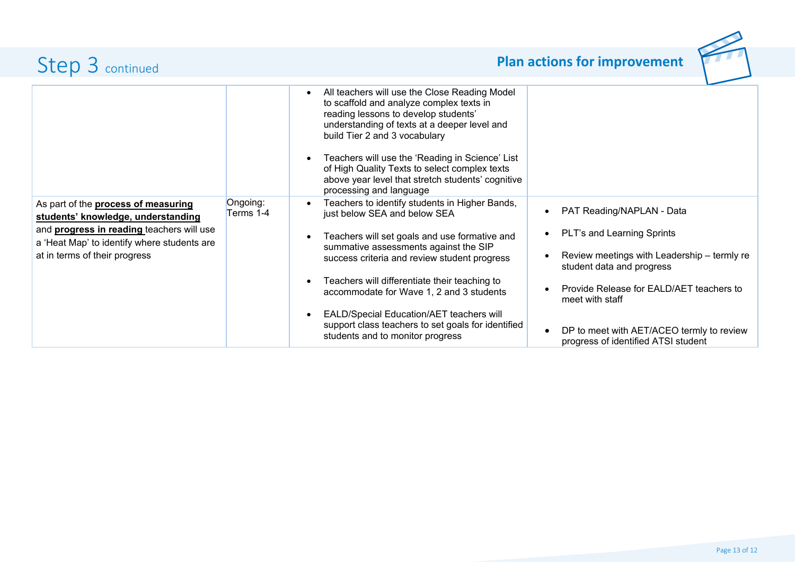|                                                                                                                                                                                                                      |                       | All teachers will use the Close Reading Model<br>$\bullet$<br>to scaffold and analyze complex texts in<br>reading lessons to develop students'<br>understanding of texts at a deeper level and<br>build Tier 2 and 3 vocabulary<br>Teachers will use the 'Reading in Science' List<br>$\bullet$<br>of High Quality Texts to select complex texts<br>above year level that stretch students' cognitive<br>processing and language                                                                          |                                                                                                                                                                                                                                                                                        |
|----------------------------------------------------------------------------------------------------------------------------------------------------------------------------------------------------------------------|-----------------------|-----------------------------------------------------------------------------------------------------------------------------------------------------------------------------------------------------------------------------------------------------------------------------------------------------------------------------------------------------------------------------------------------------------------------------------------------------------------------------------------------------------|----------------------------------------------------------------------------------------------------------------------------------------------------------------------------------------------------------------------------------------------------------------------------------------|
| As part of the <b>process of measuring</b><br>students' knowledge, understanding<br>and <b>progress in reading</b> teachers will use<br>a 'Heat Map' to identify where students are<br>at in terms of their progress | Ongoing:<br>Terms 1-4 | Teachers to identify students in Higher Bands,<br>$\bullet$<br>just below SEA and below SEA<br>Teachers will set goals and use formative and<br>$\bullet$<br>summative assessments against the SIP<br>success criteria and review student progress<br>Teachers will differentiate their teaching to<br>accommodate for Wave 1, 2 and 3 students<br><b>EALD/Special Education/AET teachers will</b><br>$\bullet$<br>support class teachers to set goals for identified<br>students and to monitor progress | PAT Reading/NAPLAN - Data<br>PLT's and Learning Sprints<br>Review meetings with Leadership - termly re<br>student data and progress<br>Provide Release for EALD/AET teachers to<br>meet with staff<br>DP to meet with AET/ACEO termly to review<br>progress of identified ATSI student |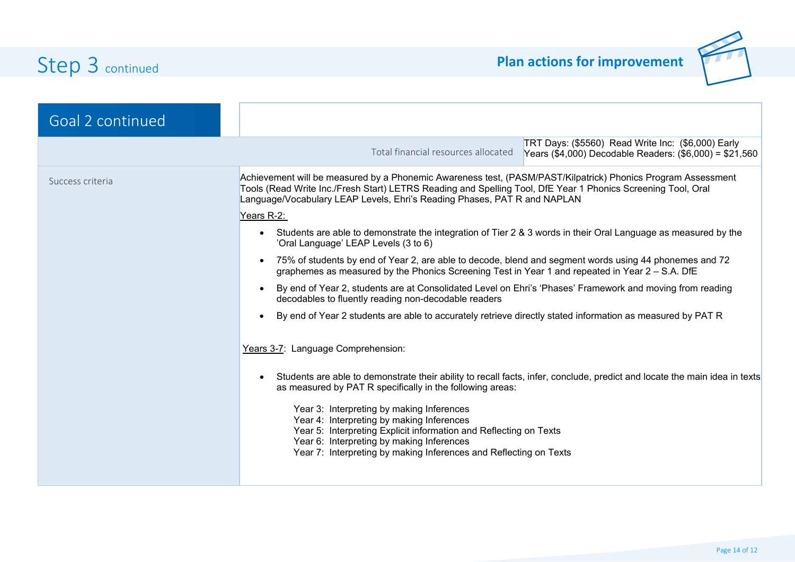

| Goal 2 continued |                                                                                                                                                                                                                                                                                                          |  |  |  |  |
|------------------|----------------------------------------------------------------------------------------------------------------------------------------------------------------------------------------------------------------------------------------------------------------------------------------------------------|--|--|--|--|
|                  | TRT Days: (\$5560) Read Write Inc: (\$6,000) Early<br>Total financial resources allocated<br>Years (\$4,000) Decodable Readers: (\$6,000) = \$21,560                                                                                                                                                     |  |  |  |  |
| Success criteria | Achievement will be measured by a Phonemic Awareness test, (PASM/PAST/Kilpatrick) Phonics Program Assessment<br>Tools (Read Write Inc./Fresh Start) LETRS Reading and Spelling Tool, DfE Year 1 Phonics Screening Tool, Oral<br>Language/Vocabulary LEAP Levels, Ehri's Reading Phases, PAT R and NAPLAN |  |  |  |  |
|                  | Years R-2:                                                                                                                                                                                                                                                                                               |  |  |  |  |
|                  | Students are able to demonstrate the integration of Tier 2 & 3 words in their Oral Language as measured by the<br>$\bullet$<br>'Oral Language' LEAP Levels (3 to 6)                                                                                                                                      |  |  |  |  |
|                  | 75% of students by end of Year 2, are able to decode, blend and segment words using 44 phonemes and 72<br>$\bullet$<br>graphemes as measured by the Phonics Screening Test in Year 1 and repeated in Year 2 - S.A. DfE                                                                                   |  |  |  |  |
|                  | By end of Year 2, students are at Consolidated Level on Ehri's 'Phases' Framework and moving from reading<br>$\bullet$<br>decodables to fluently reading non-decodable readers                                                                                                                           |  |  |  |  |
|                  | By end of Year 2 students are able to accurately retrieve directly stated information as measured by PAT R                                                                                                                                                                                               |  |  |  |  |
|                  | Years 3-7: Language Comprehension:                                                                                                                                                                                                                                                                       |  |  |  |  |
|                  | Students are able to demonstrate their ability to recall facts, infer, conclude, predict and locate the main idea in texts<br>$\bullet$<br>as measured by PAT R specifically in the following areas:                                                                                                     |  |  |  |  |
|                  | Year 3: Interpreting by making Inferences<br>Year 4: Interpreting by making Inferences<br>Year 5: Interpreting Explicit information and Reflecting on Texts<br>Year 6: Interpreting by making Inferences                                                                                                 |  |  |  |  |
|                  | Year 7: Interpreting by making Inferences and Reflecting on Texts                                                                                                                                                                                                                                        |  |  |  |  |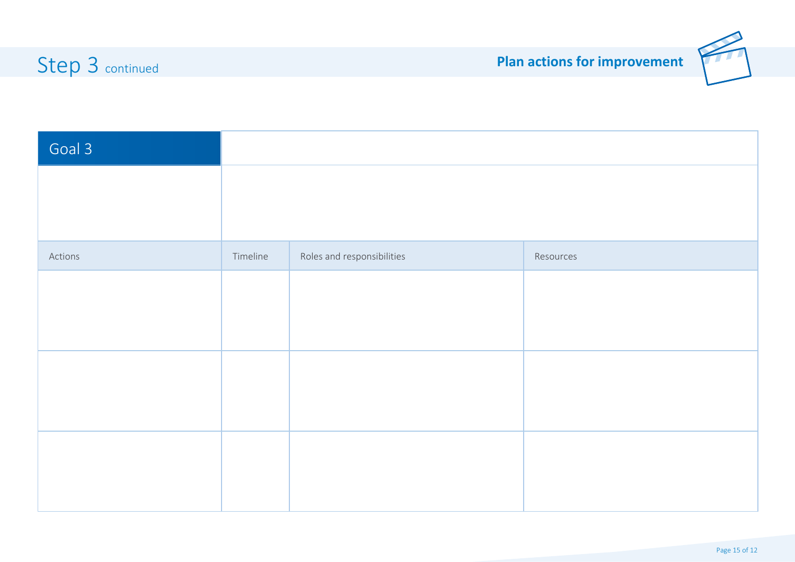

| Goal 3  |          |                            |           |
|---------|----------|----------------------------|-----------|
|         |          |                            |           |
|         |          |                            |           |
| Actions | Timeline | Roles and responsibilities | Resources |
|         |          |                            |           |
|         |          |                            |           |
|         |          |                            |           |
|         |          |                            |           |
|         |          |                            |           |
|         |          |                            |           |
|         |          |                            |           |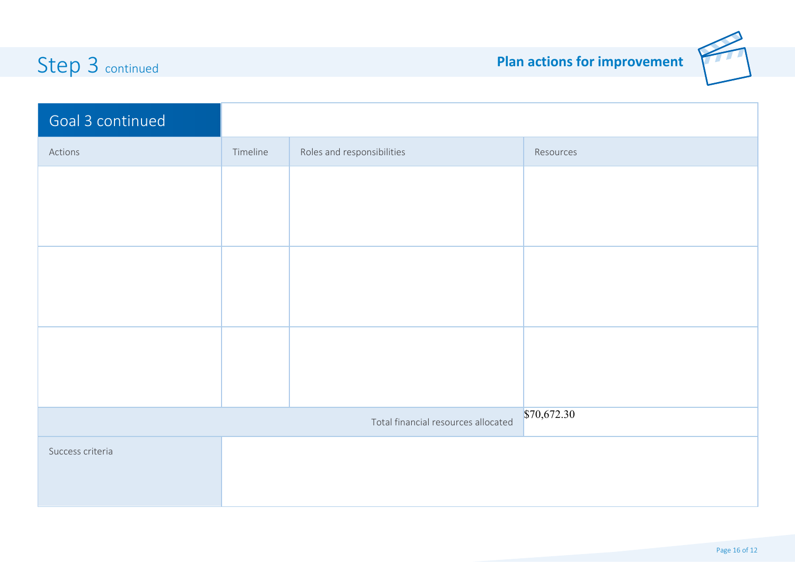

| Goal 3 continued                    |          |                            |           |
|-------------------------------------|----------|----------------------------|-----------|
| Actions                             | Timeline | Roles and responsibilities | Resources |
|                                     |          |                            |           |
|                                     |          |                            |           |
|                                     |          |                            |           |
|                                     |          |                            |           |
|                                     |          |                            |           |
|                                     |          |                            |           |
|                                     |          |                            |           |
|                                     |          |                            |           |
| \$70,672.30                         |          |                            |           |
| Total financial resources allocated |          |                            |           |
| Success criteria                    |          |                            |           |
|                                     |          |                            |           |
|                                     |          |                            |           |